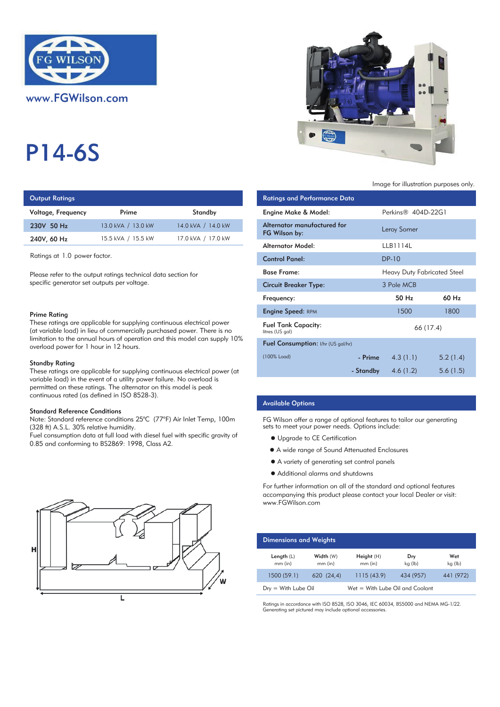

www.FGWilson.com

# P14-6S

## **Output Ratings**

| Voltage, Frequency | Prime              | Standby            | Engine Make & Model:           |
|--------------------|--------------------|--------------------|--------------------------------|
| 230V 50 Hz         | 13.0 kVA / 13.0 kW | 14.0 kVA / 14.0 kW | Alternator manufactur          |
| 240V, 60 Hz        | 15.5 kVA / 15.5 kW | 17.0 kVA / 17.0 kW | FG Wilson by:                  |
|                    |                    |                    | A la superior A A substitution |

#### Prime Rating

#### Standby Rating

These ratings are applicable for supplying continuous electrical power (at variable load) in the event of a utility power failure. No overload is permitted on these ratings. The alternator on this model is peak continuous rated (as defined in ISO 8528-3).

#### Standard Reference Conditions

Note: Standard reference conditions 25°C (77°F) Air Inlet Temp, 100m (328 ft) A.S.L. 30% relative humidity.

Fuel consumption data at full load with diesel fuel with specific gravity of 0.85 and conforming to BS2869: 1998, Class A2.





#### Image for illustration purposes only.

| <b>Output Ratings</b>                                                                                                                             |                    |                                                                            | <b>Ratings and Performance Data</b>           |           |                                    |           |
|---------------------------------------------------------------------------------------------------------------------------------------------------|--------------------|----------------------------------------------------------------------------|-----------------------------------------------|-----------|------------------------------------|-----------|
| Voltage, Frequency                                                                                                                                | Prime              | Standby                                                                    | Engine Make & Model:                          |           | Perkins <sup>®</sup> 404D-22G1     |           |
| 230V 50 Hz                                                                                                                                        | 13.0 kVA / 13.0 kW | 14.0 kVA / 14.0 kW                                                         | Alternator manufactured for<br>FG Wilson by:  |           | Leroy Somer                        |           |
| 240V, 60 Hz                                                                                                                                       | 15.5 kVA / 15.5 kW | 17.0 kVA / 17.0 kW                                                         | <b>Alternator Model:</b>                      |           | LLB1114L                           |           |
| Ratings at 1.0 power factor.                                                                                                                      |                    |                                                                            | <b>Control Panel:</b>                         |           | <b>DP-10</b>                       |           |
| Please refer to the output ratings technical data section for<br>specific generator set outputs per voltage.                                      |                    |                                                                            | <b>Base Frame:</b>                            |           | <b>Heavy Duty Fabricated Steel</b> |           |
|                                                                                                                                                   |                    |                                                                            | <b>Circuit Breaker Type:</b>                  |           | 3 Pole MCB                         |           |
|                                                                                                                                                   |                    |                                                                            | Frequency:                                    |           | 50 Hz                              | 60 Hz     |
| Prime Rating                                                                                                                                      |                    |                                                                            | <b>Engine Speed: RPM</b>                      |           | 1500                               | 1800      |
| These ratings are applicable for supplying continuous electrical power<br>(at variable load) in lieu of commercially purchased power. There is no |                    |                                                                            | <b>Fuel Tank Capacity:</b><br>litres (US gal) |           |                                    | 66 (17.4) |
| limitation to the annual hours of operation and this model can supply $10\%$<br>overload power for 1 hour in 12 hours.                            |                    | Fuel Consumption: I/hr (US gal/hr)                                         |                                               |           |                                    |           |
| Standby Rating                                                                                                                                    |                    |                                                                            | (100% Load)                                   | - Prime   | 4.3(1.1)                           | 5.2(1.4)  |
|                                                                                                                                                   |                    | These ratings are applicable for supplying continuous electrical power (at |                                               | - Standby | 4.6(1.2)                           | 5.6(1.5)  |

### Available Options

FG Wilson offer a range of optional features to tailor our generating sets to meet your power needs. Options include:

- $\bullet$  Upgrade to CE Certification
- A wide range of Sound Attenuated Enclosures
- A variety of generating set control panels
- Additional alarms and shutdowns

For further information on all of the standard and optional features accompanying this product please contact your local Dealer or visit: www.FGWilson.com

| <b>Dimensions and Weights</b> |                        |                                   |                |                |
|-------------------------------|------------------------|-----------------------------------|----------------|----------------|
| Length $(L)$<br>$mm$ (in)     | Width (W)<br>$mm$ (in) | Height(H)<br>$mm$ (in)            | Dry<br>kg (lb) | Wet<br>kg (lb) |
| 1500 (59.1)                   | 620(24,4)              | 1115(43.9)                        | 434 (957)      | 441 (972)      |
| $Dry = With Lube Oil$         |                        | $Wet = With Lube Oil and Coolant$ |                |                |

Ratings in accordance with ISO 8528, ISO 3046, IEC 60034, BS5000 and NEMA MG-1/22. Generating set pictured may include optional accessories.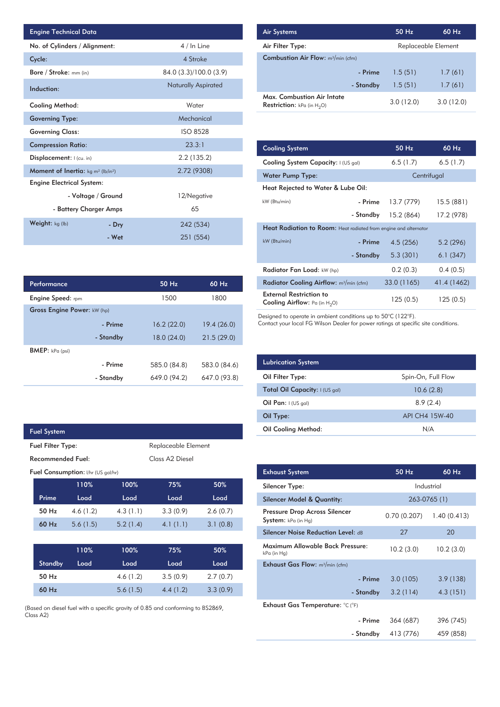| <b>Engine Technical Data</b>                               |                        |                            | <b>Air Systems</b>               |
|------------------------------------------------------------|------------------------|----------------------------|----------------------------------|
| No. of Cylinders / Alignment:                              |                        | 4 / In Line                | Air Filter Ty                    |
| Cycle:                                                     |                        | 4 Stroke                   | Combustior                       |
| Bore / Stroke: mm (in)                                     |                        | 84.0 (3.3)/100.0 (3.9)     |                                  |
| Induction:                                                 |                        | <b>Naturally Aspirated</b> |                                  |
| Cooling Method:                                            |                        | Water                      | Max. Comb<br><b>Restriction:</b> |
| <b>Governing Type:</b>                                     |                        | Mechanical                 |                                  |
| <b>Governing Class:</b>                                    |                        | <b>ISO 8528</b>            |                                  |
| <b>Compression Ratio:</b>                                  |                        | 23.3:1                     | <b>Cooling Sys</b>               |
| Displacement:  (cu. in)                                    |                        | 2.2(135.2)                 | <b>Cooling Sys</b>               |
| Moment of Inertia: kg m <sup>2</sup> (lb/in <sup>2</sup> ) |                        | 2.72 (9308)                | Water Pum                        |
| <b>Engine Electrical System:</b>                           |                        |                            | <b>Heat Reject</b>               |
|                                                            | - Voltage / Ground     | 12/Negative                | kW (Btu/min)                     |
|                                                            | - Battery Charger Amps | 65                         |                                  |
| Weight: kg (lb)                                            | - Dry                  | 242 (534)                  | <b>Heat Radia</b>                |
|                                                            | - Wet                  | 251 (554)                  | $kW$ ( $Rt_{11}/min$ )           |

| Performance                 |           | $50$ Hz      | $60$ Hz      |
|-----------------------------|-----------|--------------|--------------|
| <b>Engine Speed:</b> rpm    |           | 1500         | 1800         |
| Gross Engine Power: kW (hp) |           |              |              |
|                             | - Prime   | 16.2(22.0)   | 19.4(26.0)   |
|                             | - Standby | 18.0 (24.0)  | 21.5(29.0)   |
| <b>BMEP:</b> $kPa$ (psi)    |           |              |              |
|                             | - Prime   | 585.0 (84.8) | 583.0 (84.6) |
|                             | - Standby | 649.0 (94.2) | 647.0 (93.8) |

|                                           | <b>Fuel System</b> |          |          |                             |          |
|-------------------------------------------|--------------------|----------|----------|-----------------------------|----------|
| <b>Fuel Filter Type:</b>                  |                    |          |          | Replaceable Element         |          |
| Recommended Fuel:                         |                    |          |          | Class A <sub>2</sub> Diesel |          |
| <b>Fuel Consumption:</b> I/hr (US gal/hr) |                    |          |          |                             |          |
|                                           |                    | 110%     | 100%     | 75%                         | 50%      |
|                                           | Prime              | Load     | Load     | Load                        | Load     |
|                                           | 50 Hz              | 4.6(1.2) | 4.3(1.1) | 3.3(0.9)                    | 2.6(0.7) |
|                                           | 60 Hz              | 5.6(1.5) | 5.2(1.4) | 4.1(1.1)                    | 3.1(0.8) |
|                                           |                    |          |          |                             |          |
|                                           |                    | 110%     | 100%     | 75%                         | 50%      |
|                                           | <b>Standby</b>     | Load     | Load     | Load                        | Load     |
|                                           | 50 Hz              |          | 4.6(1.2) | 3.5(0.9)                    | 2.7(0.7) |
|                                           | $60$ Hz            |          | 5.6(1.5) | 4.4(1.2)                    | 3.3(0.9) |

F

(Based on diesel fuel with a specific gravity of 0.85 and conforming to BS2869, Class A2)

| <b>Air Systems</b>                                                 |           | 50 Hz               | 60 Hz     |
|--------------------------------------------------------------------|-----------|---------------------|-----------|
| Air Filter Type:                                                   |           | Replaceable Element |           |
| <b>Combustion Air Flow:</b> m <sup>3</sup> /min (cfm)              |           |                     |           |
|                                                                    | - Prime   | 1.5(51)             | 1.7(61)   |
|                                                                    | - Standby | 1.5(51)             | 1.7(61)   |
| Max. Combustion Air Intate<br><b>Restriction:</b> kPa (in $H_2O$ ) |           | 3.0(12.0)           | 3.0(12.0) |

|           | 23.3:1      | <b>Cooling System</b>                                                     |                                                                         | 50 Hz       | 60 Hz       |  |  |
|-----------|-------------|---------------------------------------------------------------------------|-------------------------------------------------------------------------|-------------|-------------|--|--|
|           | 2.2(135.2)  | Cooling System Capacity: I (US gal)                                       |                                                                         | 6.5(1.7)    | 6.5(1.7)    |  |  |
|           | 2.72 (9308) | <b>Water Pump Type:</b>                                                   |                                                                         |             | Centrifugal |  |  |
|           |             | Heat Rejected to Water & Lube Oil:                                        |                                                                         |             |             |  |  |
|           | 12/Negative | kW (Btu/min)                                                              | - Prime                                                                 | 13.7 (779)  | 15.5 (881)  |  |  |
|           | 65          |                                                                           | - Standby                                                               | 15.2 (864)  | 17.2 (978)  |  |  |
| 242 (534) |             |                                                                           | <b>Heat Radiation to Room:</b> Heat radiated from engine and alternator |             |             |  |  |
|           | 251 (554)   | kW (Btu/min)                                                              | - Prime                                                                 | 4.5(256)    | 5.2(296)    |  |  |
|           |             |                                                                           | - Standby                                                               | 5.3(301)    | 6.1(347)    |  |  |
|           |             | Radiator Fan Load: kW (hp)                                                |                                                                         | 0.2(0.3)    | 0.4(0.5)    |  |  |
| 50 Hz     | 60 Hz       | Radiator Cooling Airflow: m <sup>3</sup> /min (cfm)                       |                                                                         | 33.0 (1165) | 41.4 (1462) |  |  |
| 1500      | 1800        | <b>External Restriction to</b><br><b>Cooling Airflow:</b> Pa (in $H_2O$ ) |                                                                         | 125(0.5)    | 125(0.5)    |  |  |
|           |             |                                                                           |                                                                         |             |             |  |  |

Designed to operate in ambient conditions up to 50°C (122°F).

Contact your local FG Wilson Dealer for power ratings at specific site conditions.

| <b>Lubrication System</b>      |                    |
|--------------------------------|--------------------|
| Oil Filter Type:               | Spin-On, Full Flow |
| Total Oil Capacity: I (US gal) | 10.6(2.8)          |
| Oil Pan: $I(US gal)$           | 8.9(2.4)           |
| Oil Type:                      | API CH4 15W-40     |
| <b>Oil Cooling Method:</b>     | N/A                |

| <b>Exhaust System</b>                                | 50 Hz       | 60 Hz        |
|------------------------------------------------------|-------------|--------------|
| Silencer Type:                                       |             | Industrial   |
| <b>Silencer Model &amp; Quantity:</b>                |             | 263-0765 (1) |
| Pressure Drop Across Silencer<br>System: kPa (in Hg) | 0.70(0.207) | 1.40(0.413)  |
| <b>Silencer Noise Reduction Level: dB</b>            | 27          | 20           |
| Maximum Allowable Back Pressure:<br>kPa (in Hg)      | 10.2(3.0)   | 10.2(3.0)    |
| <b>Exhaust Gas Flow:</b> $m^3/m$ in (cfm)            |             |              |
| - Prime                                              | 3.0(105)    | 3.9(138)     |
| - Standby                                            | 3.2(114)    | 4.3(151)     |
| Exhaust Gas Temperature: °C (°F)                     |             |              |
| - Prime                                              | 364 (687)   | 396 (745)    |
| - Standby                                            | 413 (776)   | 459 (858)    |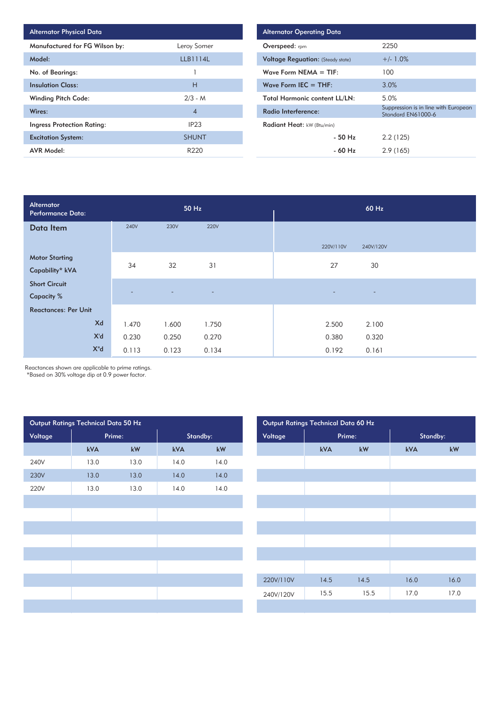| <b>Alternator Physical Data</b>   |                  |
|-----------------------------------|------------------|
| Manufactured for FG Wilson by:    | Leroy Somer      |
| Model:                            | LLB1114L         |
| No. of Bearings:                  |                  |
| <b>Insulation Class:</b>          | Н                |
| <b>Winding Pitch Code:</b>        | $2/3 - M$        |
| Wires:                            | $\overline{4}$   |
| <b>Ingress Protection Rating:</b> | IP <sub>23</sub> |
| <b>Excitation System:</b>         | <b>SHUNT</b>     |
| <b>AVR Model:</b>                 | R220             |

| <b>Alternator Operating Data</b>         |                                                            |
|------------------------------------------|------------------------------------------------------------|
| <b>Overspeed:</b> rpm                    | 2250                                                       |
| <b>Voltage Reguation:</b> (Steady state) | $+/- 1.0%$                                                 |
| Wave Form NEMA $=$ TIF:                  | 100                                                        |
| Wave Form IEC $=$ THF:                   | 3.0%                                                       |
| <b>Total Harmonic content LL/LN:</b>     | 5.0%                                                       |
| Radio Interference:                      | Suppression is in line with European<br>Standard EN61000-6 |
| Radiant Heat: kW (Btu/min)               |                                                            |
| $-50$ Hz                                 | 2.2(125)                                                   |
| - 60 Hz                                  | 2.9(165)                                                   |

| Alternator<br><b>Performance Data:</b> |             | 50 Hz          |                          | 60 Hz                                         |  |  |  |
|----------------------------------------|-------------|----------------|--------------------------|-----------------------------------------------|--|--|--|
| Data Item                              | <b>240V</b> | <b>230V</b>    | <b>220V</b>              |                                               |  |  |  |
|                                        |             |                |                          | 220V/110V<br>240V/120V                        |  |  |  |
| <b>Motor Starting</b>                  | 34          | 32             | 31                       | 27<br>30                                      |  |  |  |
| Capability* kVA                        |             |                |                          |                                               |  |  |  |
| <b>Short Circuit</b>                   |             |                |                          |                                               |  |  |  |
| <b>Capacity %</b>                      |             | $\overline{a}$ | $\overline{\phantom{a}}$ | $\overline{\phantom{a}}$<br>$\qquad \qquad -$ |  |  |  |
| <b>Reactances: Per Unit</b>            |             |                |                          |                                               |  |  |  |
| Xd                                     | 1.470       | 1.600          | 1.750                    | 2.500<br>2.100                                |  |  |  |
| X'd                                    | 0.230       | 0.250          | 0.270                    | 0.380<br>0.320                                |  |  |  |
| $X^{\prime\prime}$ d                   | 0.113       | 0.123          | 0.134                    | 0.192<br>0.161                                |  |  |  |

Reactances shown are applicable to prime ratings.

\*Based on 30% voltage dip at 0.9 power factor.

| Output Ratings Technical Data 50 Hz |        |      |          |      | Output Ratings Technical Data 60 Hz |      |        |          |  |  |
|-------------------------------------|--------|------|----------|------|-------------------------------------|------|--------|----------|--|--|
| Voltage                             | Prime: |      | Standby: |      | Voltage                             |      | Prime: | Standby: |  |  |
|                                     | kVA    | kW   | kVA      | kW   |                                     | kVA  | kW     | kVA      |  |  |
| 240V                                | 13.0   | 13.0 | 14.0     | 14.0 |                                     |      |        |          |  |  |
| 230V                                | 13.0   | 13.0 | 14.0     | 14.0 |                                     |      |        |          |  |  |
| 220V                                | 13.0   | 13.0 | 14.0     | 14.0 |                                     |      |        |          |  |  |
|                                     |        |      |          |      |                                     |      |        |          |  |  |
|                                     |        |      |          |      |                                     |      |        |          |  |  |
|                                     |        |      |          |      |                                     |      |        |          |  |  |
|                                     |        |      |          |      |                                     |      |        |          |  |  |
|                                     |        |      |          |      |                                     |      |        |          |  |  |
|                                     |        |      |          |      |                                     |      |        |          |  |  |
|                                     |        |      |          |      | 220V/110V                           | 14.5 | 14.5   | 16.0     |  |  |
|                                     |        |      |          |      | 240V/120V                           | 15.5 | 15.5   | 17.0     |  |  |
|                                     |        |      |          |      |                                     |      |        |          |  |  |